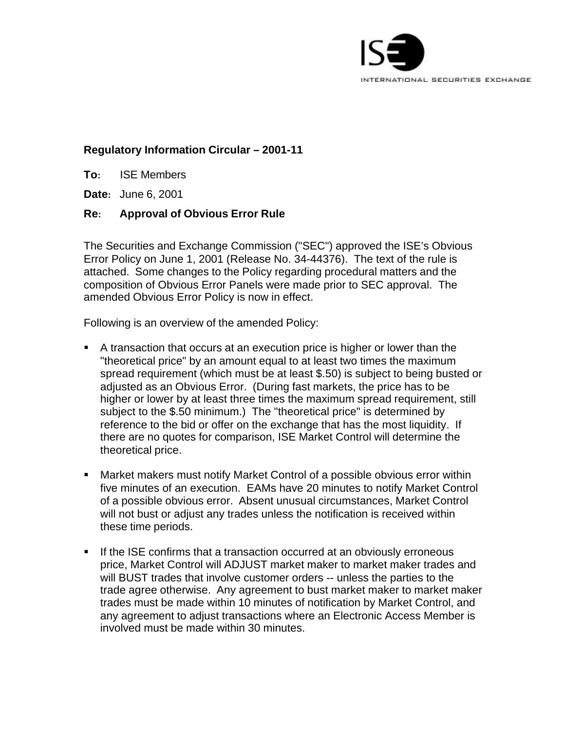

# **Regulatory Information Circular – 2001-11**

**To:** ISE Members

**Date:** June 6, 2001

## **Re: Approval of Obvious Error Rule**

The Securities and Exchange Commission ("SEC") approved the ISE's Obvious Error Policy on June 1, 2001 (Release No. 34-44376). The text of the rule is attached. Some changes to the Policy regarding procedural matters and the composition of Obvious Error Panels were made prior to SEC approval. The amended Obvious Error Policy is now in effect.

Following is an overview of the amended Policy:

- **A** transaction that occurs at an execution price is higher or lower than the "theoretical price" by an amount equal to at least two times the maximum spread requirement (which must be at least \$.50) is subject to being busted or adjusted as an Obvious Error. (During fast markets, the price has to be higher or lower by at least three times the maximum spread requirement, still subject to the \$.50 minimum.) The "theoretical price" is determined by reference to the bid or offer on the exchange that has the most liquidity. If there are no quotes for comparison, ISE Market Control will determine the theoretical price.
- **Market makers must notify Market Control of a possible obvious error within** five minutes of an execution. EAMs have 20 minutes to notify Market Control of a possible obvious error. Absent unusual circumstances, Market Control will not bust or adjust any trades unless the notification is received within these time periods.
- **F** If the ISE confirms that a transaction occurred at an obviously erroneous price, Market Control will ADJUST market maker to market maker trades and will BUST trades that involve customer orders -- unless the parties to the trade agree otherwise. Any agreement to bust market maker to market maker trades must be made within 10 minutes of notification by Market Control, and any agreement to adjust transactions where an Electronic Access Member is involved must be made within 30 minutes.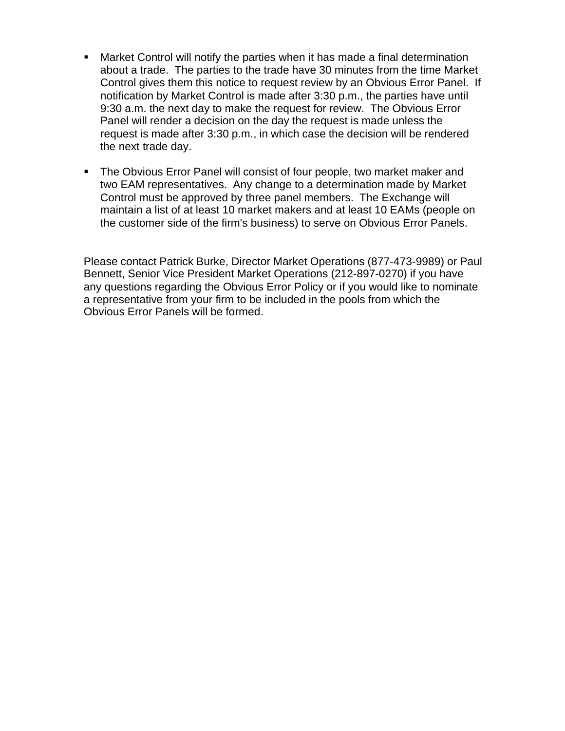- **Market Control will notify the parties when it has made a final determination** about a trade. The parties to the trade have 30 minutes from the time Market Control gives them this notice to request review by an Obvious Error Panel. If notification by Market Control is made after 3:30 p.m., the parties have until 9:30 a.m. the next day to make the request for review. The Obvious Error Panel will render a decision on the day the request is made unless the request is made after 3:30 p.m., in which case the decision will be rendered the next trade day.
- The Obvious Error Panel will consist of four people, two market maker and two EAM representatives. Any change to a determination made by Market Control must be approved by three panel members. The Exchange will maintain a list of at least 10 market makers and at least 10 EAMs (people on the customer side of the firm's business) to serve on Obvious Error Panels.

Please contact Patrick Burke, Director Market Operations (877-473-9989) or Paul Bennett, Senior Vice President Market Operations (212-897-0270) if you have any questions regarding the Obvious Error Policy or if you would like to nominate a representative from your firm to be included in the pools from which the Obvious Error Panels will be formed.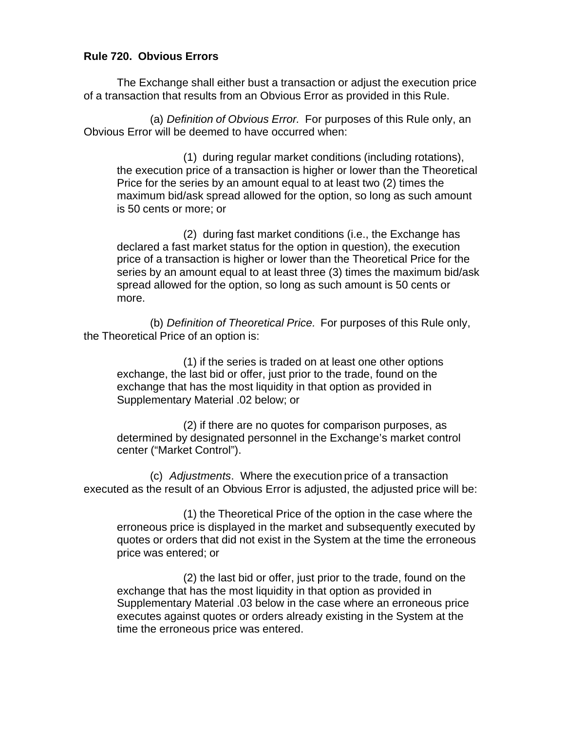## **Rule 720. Obvious Errors**

The Exchange shall either bust a transaction or adjust the execution price of a transaction that results from an Obvious Error as provided in this Rule.

(a) *Definition of Obvious Error.* For purposes of this Rule only, an Obvious Error will be deemed to have occurred when:

(1) during regular market conditions (including rotations), the execution price of a transaction is higher or lower than the Theoretical Price for the series by an amount equal to at least two (2) times the maximum bid/ask spread allowed for the option, so long as such amount is 50 cents or more; or

(2) during fast market conditions (i.e., the Exchange has declared a fast market status for the option in question), the execution price of a transaction is higher or lower than the Theoretical Price for the series by an amount equal to at least three (3) times the maximum bid/ask spread allowed for the option, so long as such amount is 50 cents or more.

(b) *Definition of Theoretical Price.* For purposes of this Rule only, the Theoretical Price of an option is:

(1) if the series is traded on at least one other options exchange, the last bid or offer, just prior to the trade, found on the exchange that has the most liquidity in that option as provided in Supplementary Material .02 below; or

(2) if there are no quotes for comparison purposes, as determined by designated personnel in the Exchange's market control center ("Market Control").

(c) *Adjustments*. Where the execution price of a transaction executed as the result of an Obvious Error is adjusted, the adjusted price will be:

(1) the Theoretical Price of the option in the case where the erroneous price is displayed in the market and subsequently executed by quotes or orders that did not exist in the System at the time the erroneous price was entered; or

(2) the last bid or offer, just prior to the trade, found on the exchange that has the most liquidity in that option as provided in Supplementary Material .03 below in the case where an erroneous price executes against quotes or orders already existing in the System at the time the erroneous price was entered.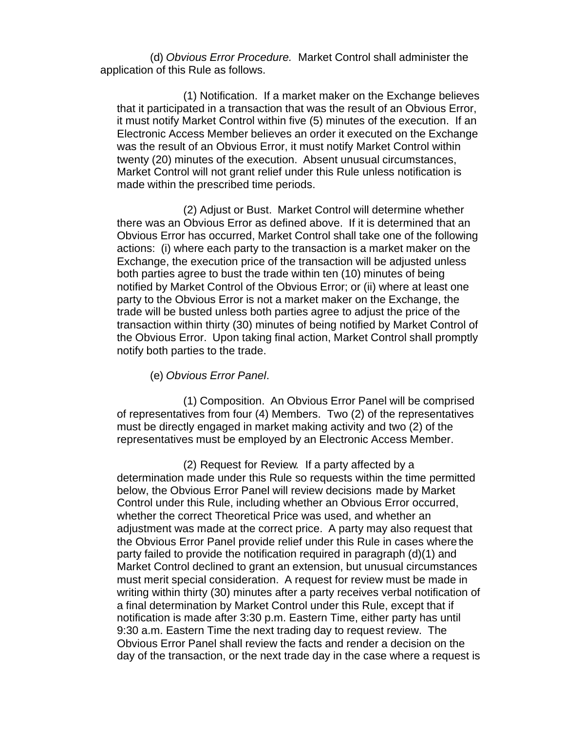(d) *Obvious Error Procedure.* Market Control shall administer the application of this Rule as follows.

(1) Notification. If a market maker on the Exchange believes that it participated in a transaction that was the result of an Obvious Error, it must notify Market Control within five (5) minutes of the execution. If an Electronic Access Member believes an order it executed on the Exchange was the result of an Obvious Error, it must notify Market Control within twenty (20) minutes of the execution. Absent unusual circumstances, Market Control will not grant relief under this Rule unless notification is made within the prescribed time periods.

(2) Adjust or Bust. Market Control will determine whether there was an Obvious Error as defined above. If it is determined that an Obvious Error has occurred, Market Control shall take one of the following actions: (i) where each party to the transaction is a market maker on the Exchange, the execution price of the transaction will be adjusted unless both parties agree to bust the trade within ten (10) minutes of being notified by Market Control of the Obvious Error; or (ii) where at least one party to the Obvious Error is not a market maker on the Exchange, the trade will be busted unless both parties agree to adjust the price of the transaction within thirty (30) minutes of being notified by Market Control of the Obvious Error. Upon taking final action, Market Control shall promptly notify both parties to the trade.

### (e) *Obvious Error Panel*.

(1) Composition. An Obvious Error Panel will be comprised of representatives from four (4) Members. Two (2) of the representatives must be directly engaged in market making activity and two (2) of the representatives must be employed by an Electronic Access Member.

(2) Request for Review*.* If a party affected by a determination made under this Rule so requests within the time permitted below, the Obvious Error Panel will review decisions made by Market Control under this Rule, including whether an Obvious Error occurred, whether the correct Theoretical Price was used, and whether an adjustment was made at the correct price. A party may also request that the Obvious Error Panel provide relief under this Rule in cases where the party failed to provide the notification required in paragraph (d)(1) and Market Control declined to grant an extension, but unusual circumstances must merit special consideration. A request for review must be made in writing within thirty (30) minutes after a party receives verbal notification of a final determination by Market Control under this Rule, except that if notification is made after 3:30 p.m. Eastern Time, either party has until 9:30 a.m. Eastern Time the next trading day to request review. The Obvious Error Panel shall review the facts and render a decision on the day of the transaction, or the next trade day in the case where a request is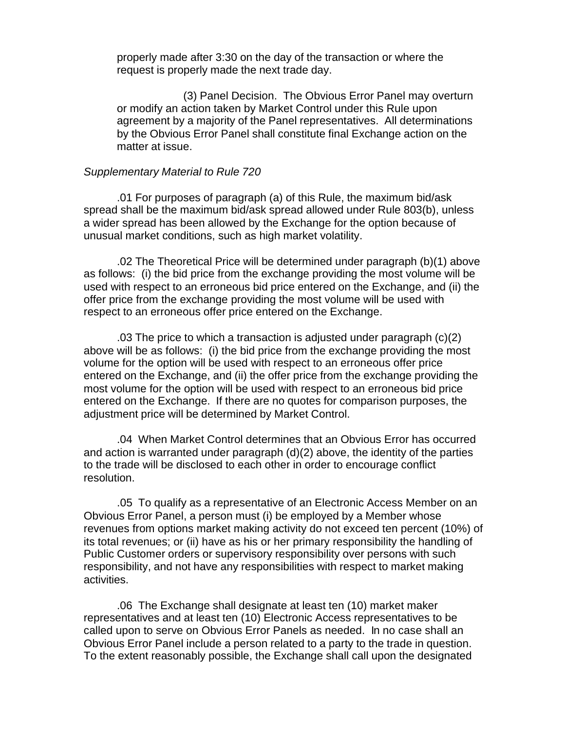properly made after 3:30 on the day of the transaction or where the request is properly made the next trade day.

(3) Panel Decision. The Obvious Error Panel may overturn or modify an action taken by Market Control under this Rule upon agreement by a majority of the Panel representatives. All determinations by the Obvious Error Panel shall constitute final Exchange action on the matter at issue.

#### *Supplementary Material to Rule 720*

.01 For purposes of paragraph (a) of this Rule, the maximum bid/ask spread shall be the maximum bid/ask spread allowed under Rule 803(b), unless a wider spread has been allowed by the Exchange for the option because of unusual market conditions, such as high market volatility.

.02 The Theoretical Price will be determined under paragraph (b)(1) above as follows: (i) the bid price from the exchange providing the most volume will be used with respect to an erroneous bid price entered on the Exchange, and (ii) the offer price from the exchange providing the most volume will be used with respect to an erroneous offer price entered on the Exchange.

.03 The price to which a transaction is adjusted under paragraph (c)(2) above will be as follows: (i) the bid price from the exchange providing the most volume for the option will be used with respect to an erroneous offer price entered on the Exchange, and (ii) the offer price from the exchange providing the most volume for the option will be used with respect to an erroneous bid price entered on the Exchange. If there are no quotes for comparison purposes, the adjustment price will be determined by Market Control.

.04 When Market Control determines that an Obvious Error has occurred and action is warranted under paragraph (d)(2) above, the identity of the parties to the trade will be disclosed to each other in order to encourage conflict resolution.

.05 To qualify as a representative of an Electronic Access Member on an Obvious Error Panel, a person must (i) be employed by a Member whose revenues from options market making activity do not exceed ten percent (10%) of its total revenues; or (ii) have as his or her primary responsibility the handling of Public Customer orders or supervisory responsibility over persons with such responsibility, and not have any responsibilities with respect to market making activities.

.06 The Exchange shall designate at least ten (10) market maker representatives and at least ten (10) Electronic Access representatives to be called upon to serve on Obvious Error Panels as needed. In no case shall an Obvious Error Panel include a person related to a party to the trade in question. To the extent reasonably possible, the Exchange shall call upon the designated